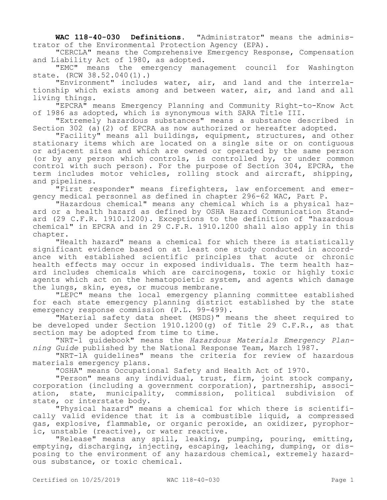**WAC 118-40-030 Definitions.** "Administrator" means the administrator of the Environmental Protection Agency (EPA).

"CERCLA" means the Comprehensive Emergency Response, Compensation and Liability Act of 1980, as adopted.

"EMC" means the emergency management council for Washington state. (RCW 38.52.040(1).)

"Environment" includes water, air, and land and the interrelationship which exists among and between water, air, and land and all living things.

"EPCRA" means Emergency Planning and Community Right-to-Know Act of 1986 as adopted, which is synonymous with SARA Title III.

"Extremely hazardous substances" means a substance described in Section 302 (a)(2) of EPCRA as now authorized or hereafter adopted.

"Facility" means all buildings, equipment, structures, and other stationary items which are located on a single site or on contiguous or adjacent sites and which are owned or operated by the same person (or by any person which controls, is controlled by, or under common control with such person). For the purpose of Section 304, EPCRA, the term includes motor vehicles, rolling stock and aircraft, shipping, and pipelines.

"First responder" means firefighters, law enforcement and emergency medical personnel as defined in chapter 296-62 WAC, Part P.

"Hazardous chemical" means any chemical which is a physical hazard or a health hazard as defined by OSHA Hazard Communication Standard (29 C.F.R. 1910.1200). Exceptions to the definition of "hazardous chemical" in EPCRA and in 29 C.F.R. 1910.1200 shall also apply in this chapter.

"Health hazard" means a chemical for which there is statistically significant evidence based on at least one study conducted in accordance with established scientific principles that acute or chronic health effects may occur in exposed individuals. The term health hazard includes chemicals which are carcinogens, toxic or highly toxic agents which act on the hematopoietic system, and agents which damage the lungs, skin, eyes, or mucous membrane.

"LEPC" means the local emergency planning committee established for each state emergency planning district established by the state emergency response commission (P.L. 99-499).

"Material safety data sheet (MSDS)" means the sheet required to be developed under Section 1910.1200 $(q)$  of Title 29 C.F.R., as that section may be adopted from time to time.

"NRT-1 guidebook" means the *Hazardous Materials Emergency Planning Guide* published by the National Response Team, March 1987.

"NRT-1A guidelines" means the criteria for review of hazardous materials emergency plans.

"OSHA" means Occupational Safety and Health Act of 1970.

"Person" means any individual, trust, firm, joint stock company, corporation (including a government corporation), partnership, association, state, municipality, commission, political subdivision of state, or interstate body.

"Physical hazard" means a chemical for which there is scientifically valid evidence that it is a combustible liquid, a compressed gas, explosive, flammable, or organic peroxide, an oxidizer, pyrophoric, unstable (reactive), or water reactive.

"Release" means any spill, leaking, pumping, pouring, emitting, emptying, discharging, injecting, escaping, leaching, dumping, or disposing to the environment of any hazardous chemical, extremely hazardous substance, or toxic chemical.